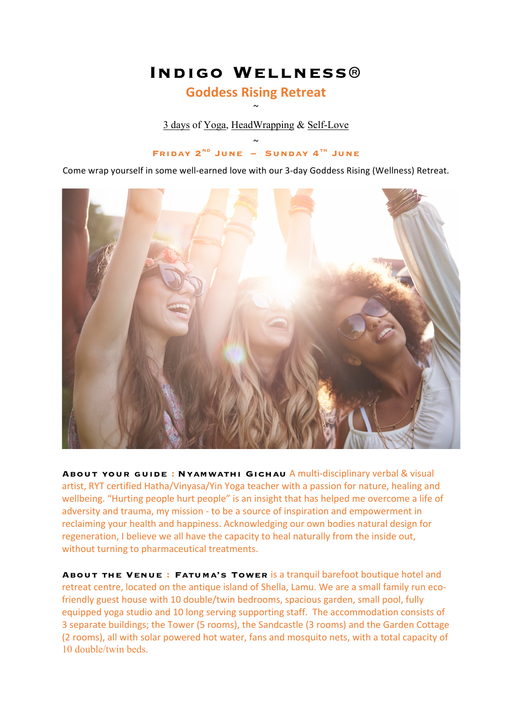# **Indigo Wellness®**

### **Goddess Rising Retreat**  $\sim$

3 days of Yoga, HeadWrapping & Self-Love

 $\sim$ **Friday 2nd June – Sunday 4th June**

Come wrap yourself in some well-earned love with our 3-day Goddess Rising (Wellness) Retreat.



**ABOUT YOUR GUIDE: NYAMWATHI GICHAU** A multi-disciplinary verbal & visual artist, RYT certified Hatha/Vinyasa/Yin Yoga teacher with a passion for nature, healing and wellbeing. "Hurting people hurt people" is an insight that has helped me overcome a life of adversity and trauma, my mission - to be a source of inspiration and empowerment in reclaiming your health and happiness. Acknowledging our own bodies natural design for regeneration, I believe we all have the capacity to heal naturally from the inside out, without turning to pharmaceutical treatments.

**ABOUT THE VENUE: FATUMA'S TOWER is a tranquil barefoot boutique hotel and** retreat centre, located on the antique island of Shella, Lamu. We are a small family run ecofriendly guest house with 10 double/twin bedrooms, spacious garden, small pool, fully equipped yoga studio and 10 long serving supporting staff. The accommodation consists of 3 separate buildings; the Tower (5 rooms), the Sandcastle (3 rooms) and the Garden Cottage (2 rooms), all with solar powered hot water, fans and mosquito nets, with a total capacity of 10 double/twin beds.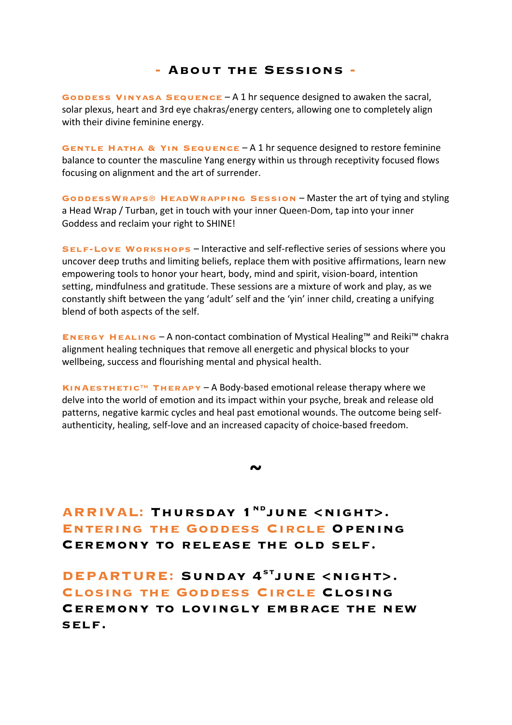#### **- About the Sessions -**

**GODDESS VINYASA SEQUENCE** – A 1 hr sequence designed to awaken the sacral, solar plexus, heart and 3rd eye chakras/energy centers, allowing one to completely align with their divine feminine energy.

**GENTLE HATHA & YIN SEQUENCE-A1** hr sequence designed to restore feminine balance to counter the masculine Yang energy within us through receptivity focused flows focusing on alignment and the art of surrender.

GODDESSWRAPS<sup>®</sup> HEADWRAPPING SESSION – Master the art of tying and styling a Head Wrap / Turban, get in touch with your inner Queen-Dom, tap into your inner Goddess and reclaim your right to SHINE!

**SELF-LOVE WORKSHOPS** – Interactive and self-reflective series of sessions where you uncover deep truths and limiting beliefs, replace them with positive affirmations, learn new empowering tools to honor your heart, body, mind and spirit, vision-board, intention setting, mindfulness and gratitude. These sessions are a mixture of work and play, as we constantly shift between the yang 'adult' self and the 'yin' inner child, creating a unifying blend of both aspects of the self.

**ENERGY HEALING** – A non-contact combination of Mystical Healing™ and Reiki™ chakra alignment healing techniques that remove all energetic and physical blocks to your wellbeing, success and flourishing mental and physical health.

**KINAESTHETIC™ THERAPY-A Body-based emotional release therapy where we** delve into the world of emotion and its impact within your psyche, break and release old patterns, negative karmic cycles and heal past emotional wounds. The outcome being selfauthenticity, healing, self-love and an increased capacity of choice-based freedom.

**~**

**ARRIVAL: THURSDAY 1<sup>ND</sup>JUNE <NIGHT>. Entering the Goddess Circle Opening Ceremony to release the old self.**

**DEPARTURE: Sunday 4stjune <night>. Closing the Goddess Circle Closing Ceremony to lovingly embrace the new self.**